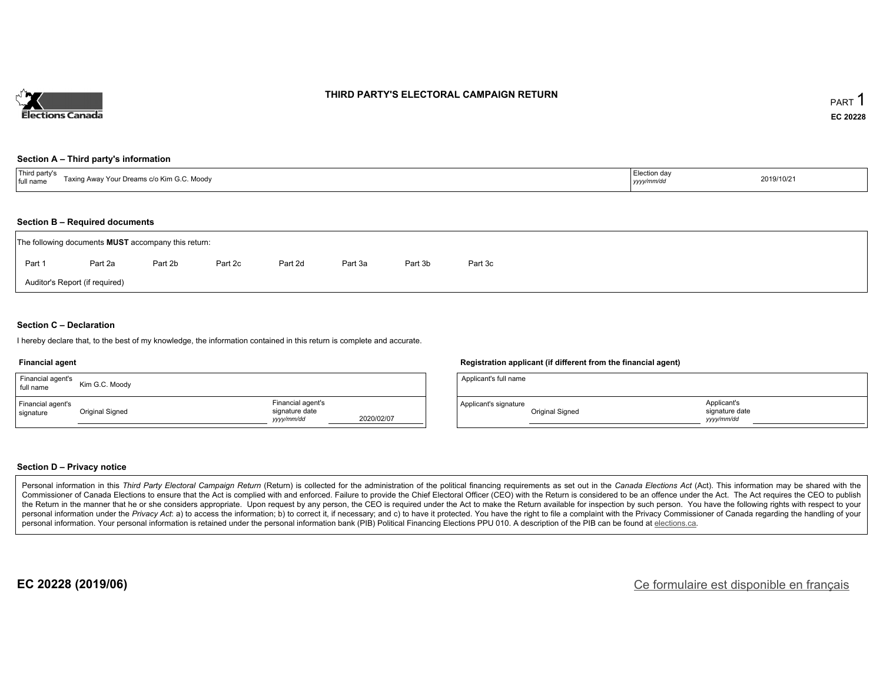

### **THIRD PARTY'S ELECTORAL CAMPAIGN RETURN**

#### **Section A – Third party's information**

| $+T+1$<br>rd party's<br>`Moodv<br>A ייִי Your Dreams c/o Kim G.<br>Toving.<br>full name | …ection da∨<br>2019/10/21<br>yyyy/mm/dd |  |
|-----------------------------------------------------------------------------------------|-----------------------------------------|--|
|-----------------------------------------------------------------------------------------|-----------------------------------------|--|

#### **Section B – Required documents**

|        | The following documents <b>MUST</b> accompany this return: |         |         |         |         |         |         |  |  |  |  |  |
|--------|------------------------------------------------------------|---------|---------|---------|---------|---------|---------|--|--|--|--|--|
| Part 1 | Part 2a                                                    | Part 2b | Part 2c | Part 2d | Part 3a | Part 3b | Part 3c |  |  |  |  |  |
|        | Auditor's Report (if required)                             |         |         |         |         |         |         |  |  |  |  |  |

### **Section C – Declaration**

I hereby declare that, to the best of my knowledge, the information contained in this return is complete and accurate.

#### **Financial agent**

| Financial agent's<br>full name | Kim G.C. Moody  |                                                  |            |
|--------------------------------|-----------------|--------------------------------------------------|------------|
| Financial agent's<br>signature | Original Signed | Financial agent's<br>signature date<br>vyy/mm/dd | 2020/02/07 |

#### **Registration applicant (if different from the financial agent)**

| Applicant's full name |                 |                                            |  |
|-----------------------|-----------------|--------------------------------------------|--|
| Applicant's signature | Original Signed | Applicant's<br>signature date<br>vyy/mm/dd |  |

#### **Section D – Privacy notice**

Personal information in this Third Party Electoral Campaign Return (Return) is collected for the administration of the political financing requirements as set out in the Canada Elections Act (Act). This information may be Commissioner of Canada Elections to ensure that the Act is complied with and enforced. Failure to provide the Chief Electoral Officer (CEO) with the Return is considered to be an offence under the Act. The Act requires the the Return in the manner that he or she considers appropriate. Upon request by any person, the CEO is required under the Act to make the Return available for inspection by such person. You have the following rights with re personal information under the Privacy Act: a) to access the information; b) to correct it, if necessary; and c) to have it protected. You have the right to file a complaint with the Privacy Commissioner of Canada regardin personal information. Your personal information is retained under the personal information bank (PIB) Political Financing Elections PPU 010. A description of the PIB can be found at elections.ca.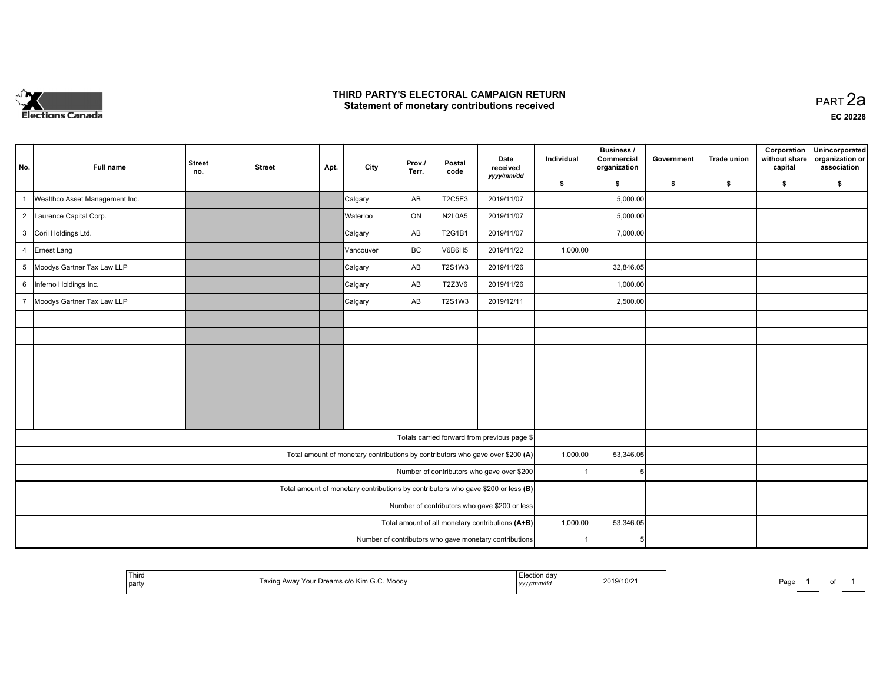

### **THIRD PARTY'S ELECTORAL CAMPAIGN RETURN HIRD PARTY'S ELECTORAL CAMPAIGN RETURN<br>Statement of monetary contributions received PART 2a PART 2a**

| No. | <b>Full name</b>                                                                  | <b>Street</b><br>no. | <b>Street</b> | Apt. | City      | Prov./<br>Terr. | Postal<br>code | Date<br>received                                                               | Individual | Business /<br>Commercial<br>organization | Government | <b>Trade union</b> | Corporation<br>without share<br>capital | Unincorporated<br>organization or<br>association |
|-----|-----------------------------------------------------------------------------------|----------------------|---------------|------|-----------|-----------------|----------------|--------------------------------------------------------------------------------|------------|------------------------------------------|------------|--------------------|-----------------------------------------|--------------------------------------------------|
|     |                                                                                   |                      |               |      |           |                 |                | yyyy/mm/dd                                                                     | \$         | s.                                       | \$         | \$                 | \$                                      | S.                                               |
| 1   | Wealthco Asset Management Inc.                                                    |                      |               |      | Calgary   | AB              | T2C5E3         | 2019/11/07                                                                     |            | 5,000.00                                 |            |                    |                                         |                                                  |
|     | 2 Laurence Capital Corp.                                                          |                      |               |      | Waterloo  | ON              | N2L0A5         | 2019/11/07                                                                     |            | 5,000.00                                 |            |                    |                                         |                                                  |
|     | 3 Coril Holdings Ltd.                                                             |                      |               |      | Calgary   | AB              | T2G1B1         | 2019/11/07                                                                     |            | 7,000.00                                 |            |                    |                                         |                                                  |
|     | 4 Ernest Lang                                                                     |                      |               |      | Vancouver | BC              | V6B6H5         | 2019/11/22                                                                     | 1,000.00   |                                          |            |                    |                                         |                                                  |
|     | 5 Moodys Gartner Tax Law LLP                                                      |                      |               |      | Calgary   | AB              | T2S1W3         | 2019/11/26                                                                     |            | 32,846.05                                |            |                    |                                         |                                                  |
|     | 6 Inferno Holdings Inc.                                                           |                      |               |      | Calgary   | AB              | T2Z3V6         | 2019/11/26                                                                     |            | 1,000.00                                 |            |                    |                                         |                                                  |
|     | 7 Moodys Gartner Tax Law LLP                                                      |                      |               |      | Calgary   | AB              | T2S1W3         | 2019/12/11                                                                     |            | 2,500.00                                 |            |                    |                                         |                                                  |
|     |                                                                                   |                      |               |      |           |                 |                |                                                                                |            |                                          |            |                    |                                         |                                                  |
|     |                                                                                   |                      |               |      |           |                 |                |                                                                                |            |                                          |            |                    |                                         |                                                  |
|     |                                                                                   |                      |               |      |           |                 |                |                                                                                |            |                                          |            |                    |                                         |                                                  |
|     |                                                                                   |                      |               |      |           |                 |                |                                                                                |            |                                          |            |                    |                                         |                                                  |
|     |                                                                                   |                      |               |      |           |                 |                |                                                                                |            |                                          |            |                    |                                         |                                                  |
|     |                                                                                   |                      |               |      |           |                 |                |                                                                                |            |                                          |            |                    |                                         |                                                  |
|     |                                                                                   |                      |               |      |           |                 |                |                                                                                |            |                                          |            |                    |                                         |                                                  |
|     |                                                                                   |                      |               |      |           |                 |                | Totals carried forward from previous page \$                                   |            |                                          |            |                    |                                         |                                                  |
|     |                                                                                   |                      |               |      |           |                 |                | Total amount of monetary contributions by contributors who gave over \$200 (A) | 1,000.00   | 53,346.05                                |            |                    |                                         |                                                  |
|     |                                                                                   |                      |               |      |           |                 |                | Number of contributors who gave over \$200                                     |            | 5                                        |            |                    |                                         |                                                  |
|     | Total amount of monetary contributions by contributors who gave \$200 or less (B) |                      |               |      |           |                 |                |                                                                                |            |                                          |            |                    |                                         |                                                  |
|     | Number of contributors who gave \$200 or less                                     |                      |               |      |           |                 |                |                                                                                |            |                                          |            |                    |                                         |                                                  |
|     | Total amount of all monetary contributions (A+B)                                  |                      |               |      |           |                 |                |                                                                                |            | 53,346.05                                |            |                    |                                         |                                                  |
|     |                                                                                   |                      |               |      |           |                 |                | Number of contributors who gave monetary contributions                         |            | 5                                        |            |                    |                                         |                                                  |

|  | Third<br>Moodv<br>  party | ı dav<br>19/10/2<br>.<br>,,,,, | ⊃aαe | וש |
|--|---------------------------|--------------------------------|------|----|
|--|---------------------------|--------------------------------|------|----|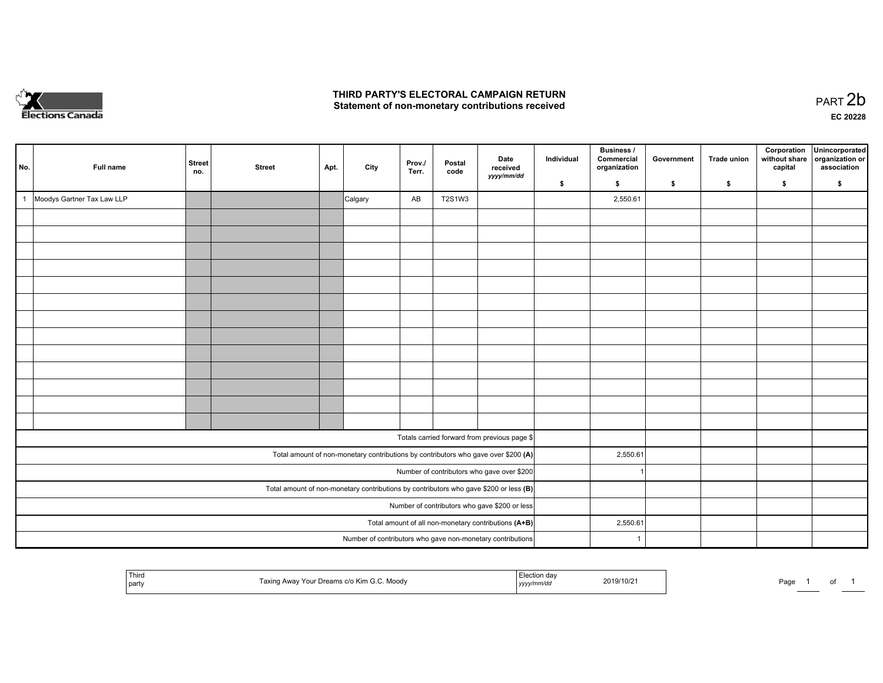

### **THIRD PARTY'S ELECTORAL CAMPAIGN RETURN**  THIRD PARTY'S ELECTORAL CAMPAIGN RETURN<br>Statement of non-monetary contributions received<br> **PART 2**b

| No. |                                                                                         | Full name                  | <b>Street</b><br>no. | <b>Street</b> | Apt. | City    | Prov./<br>Terr. | Postal<br>code | Date<br>received<br>yyyy/mm/dd                                                     | Individual | <b>Business /</b><br>Commercial<br>organization | Government | Trade union | Corporation<br>without share<br>capital | Unincorporated<br>organization or<br>association |
|-----|-----------------------------------------------------------------------------------------|----------------------------|----------------------|---------------|------|---------|-----------------|----------------|------------------------------------------------------------------------------------|------------|-------------------------------------------------|------------|-------------|-----------------------------------------|--------------------------------------------------|
|     |                                                                                         |                            |                      |               |      |         |                 |                |                                                                                    | \$         | \$                                              | \$         | \$          | \$                                      | \$                                               |
| -1  |                                                                                         | Moodys Gartner Tax Law LLP |                      |               |      | Calgary | AB              | T2S1W3         |                                                                                    |            | 2,550.61                                        |            |             |                                         |                                                  |
|     |                                                                                         |                            |                      |               |      |         |                 |                |                                                                                    |            |                                                 |            |             |                                         |                                                  |
|     |                                                                                         |                            |                      |               |      |         |                 |                |                                                                                    |            |                                                 |            |             |                                         |                                                  |
|     |                                                                                         |                            |                      |               |      |         |                 |                |                                                                                    |            |                                                 |            |             |                                         |                                                  |
|     |                                                                                         |                            |                      |               |      |         |                 |                |                                                                                    |            |                                                 |            |             |                                         |                                                  |
|     |                                                                                         |                            |                      |               |      |         |                 |                |                                                                                    |            |                                                 |            |             |                                         |                                                  |
|     |                                                                                         |                            |                      |               |      |         |                 |                |                                                                                    |            |                                                 |            |             |                                         |                                                  |
|     |                                                                                         |                            |                      |               |      |         |                 |                |                                                                                    |            |                                                 |            |             |                                         |                                                  |
|     |                                                                                         |                            |                      |               |      |         |                 |                |                                                                                    |            |                                                 |            |             |                                         |                                                  |
|     |                                                                                         |                            |                      |               |      |         |                 |                |                                                                                    |            |                                                 |            |             |                                         |                                                  |
|     |                                                                                         |                            |                      |               |      |         |                 |                |                                                                                    |            |                                                 |            |             |                                         |                                                  |
|     |                                                                                         |                            |                      |               |      |         |                 |                |                                                                                    |            |                                                 |            |             |                                         |                                                  |
|     |                                                                                         |                            |                      |               |      |         |                 |                |                                                                                    |            |                                                 |            |             |                                         |                                                  |
|     |                                                                                         |                            |                      |               |      |         |                 |                |                                                                                    |            |                                                 |            |             |                                         |                                                  |
|     |                                                                                         |                            |                      |               |      |         |                 |                | Totals carried forward from previous page \$                                       |            |                                                 |            |             |                                         |                                                  |
|     |                                                                                         |                            |                      |               |      |         |                 |                | Total amount of non-monetary contributions by contributors who gave over \$200 (A) |            | 2,550.61                                        |            |             |                                         |                                                  |
|     |                                                                                         |                            |                      |               |      |         |                 |                | Number of contributors who gave over \$200                                         |            |                                                 |            |             |                                         |                                                  |
|     | Total amount of non-monetary contributions by contributors who gave \$200 or less $(B)$ |                            |                      |               |      |         |                 |                |                                                                                    |            |                                                 |            |             |                                         |                                                  |
|     | Number of contributors who gave \$200 or less                                           |                            |                      |               |      |         |                 |                |                                                                                    |            |                                                 |            |             |                                         |                                                  |
|     | Total amount of all non-monetary contributions (A+B)                                    |                            |                      |               |      |         |                 |                |                                                                                    |            | 2,550.61                                        |            |             |                                         |                                                  |
|     |                                                                                         |                            |                      |               |      |         |                 |                | Number of contributors who gave non-monetary contributions                         |            | $\overline{1}$                                  |            |             |                                         |                                                  |

|  | <sup>l</sup> Third<br>l party | Taxing Away Your Dreams c/o Kim G.C. Moody | Election dav<br>yyyy/mm/dd | 2019/10/21<br>. | the property of the control of the<br>Page | _______ | ັບ |  |
|--|-------------------------------|--------------------------------------------|----------------------------|-----------------|--------------------------------------------|---------|----|--|
|--|-------------------------------|--------------------------------------------|----------------------------|-----------------|--------------------------------------------|---------|----|--|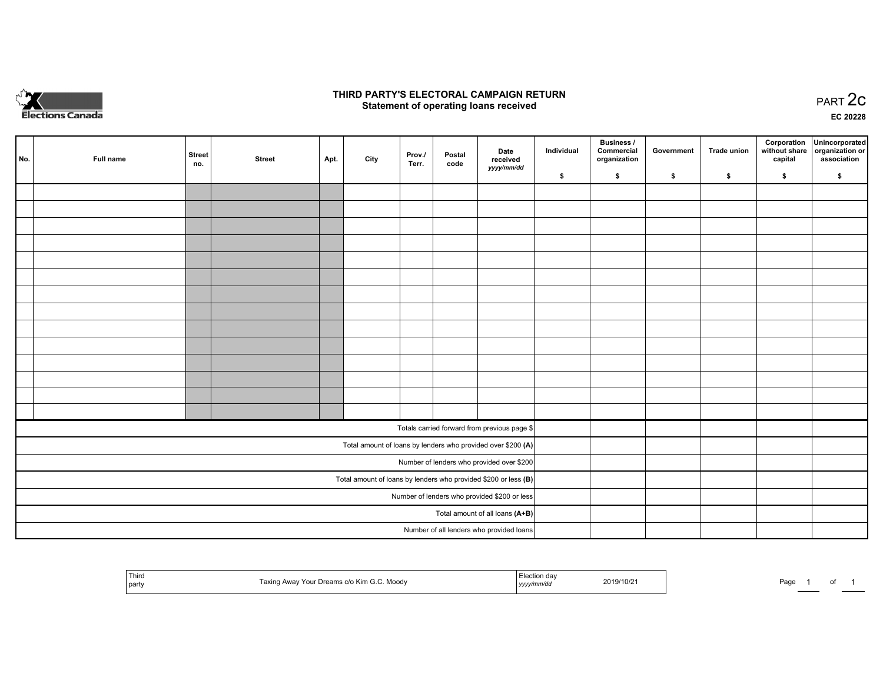

## **THIRD PARTY'S ELECTORAL CAMPAIGN RETURN STATE:** PRACT OF OPPRESS TO PART 2C STATE STATE STATE STATE STATE STATE STATE STATE STATE STATE STATE STATE STA<br>PART 2C Statement of operating loans received

**EC 20228**

| No.                             | Full name                                    | <b>Street</b><br>no. | <b>Street</b> | Apt. | City | Prov./<br>Terr. | Postal<br>code | Date<br>received                                                  | Individual | <b>Business /</b><br>Commercial<br>organization | Government | <b>Trade union</b> | Corporation<br>capital | Unincorporated<br>without share organization or<br>association |
|---------------------------------|----------------------------------------------|----------------------|---------------|------|------|-----------------|----------------|-------------------------------------------------------------------|------------|-------------------------------------------------|------------|--------------------|------------------------|----------------------------------------------------------------|
|                                 |                                              |                      |               |      |      |                 |                | yyyy/mm/dd                                                        | \$         | \$                                              | \$         | \$                 | \$                     | \$                                                             |
|                                 |                                              |                      |               |      |      |                 |                |                                                                   |            |                                                 |            |                    |                        |                                                                |
|                                 |                                              |                      |               |      |      |                 |                |                                                                   |            |                                                 |            |                    |                        |                                                                |
|                                 |                                              |                      |               |      |      |                 |                |                                                                   |            |                                                 |            |                    |                        |                                                                |
|                                 |                                              |                      |               |      |      |                 |                |                                                                   |            |                                                 |            |                    |                        |                                                                |
|                                 |                                              |                      |               |      |      |                 |                |                                                                   |            |                                                 |            |                    |                        |                                                                |
|                                 |                                              |                      |               |      |      |                 |                |                                                                   |            |                                                 |            |                    |                        |                                                                |
|                                 |                                              |                      |               |      |      |                 |                |                                                                   |            |                                                 |            |                    |                        |                                                                |
|                                 |                                              |                      |               |      |      |                 |                |                                                                   |            |                                                 |            |                    |                        |                                                                |
|                                 |                                              |                      |               |      |      |                 |                |                                                                   |            |                                                 |            |                    |                        |                                                                |
|                                 |                                              |                      |               |      |      |                 |                |                                                                   |            |                                                 |            |                    |                        |                                                                |
|                                 |                                              |                      |               |      |      |                 |                |                                                                   |            |                                                 |            |                    |                        |                                                                |
|                                 |                                              |                      |               |      |      |                 |                |                                                                   |            |                                                 |            |                    |                        |                                                                |
|                                 |                                              |                      |               |      |      |                 |                |                                                                   |            |                                                 |            |                    |                        |                                                                |
|                                 |                                              |                      |               |      |      |                 |                |                                                                   |            |                                                 |            |                    |                        |                                                                |
|                                 |                                              |                      |               |      |      |                 |                | Totals carried forward from previous page \$                      |            |                                                 |            |                    |                        |                                                                |
|                                 |                                              |                      |               |      |      |                 |                | Total amount of loans by lenders who provided over \$200 (A)      |            |                                                 |            |                    |                        |                                                                |
|                                 |                                              |                      |               |      |      |                 |                | Number of lenders who provided over \$200                         |            |                                                 |            |                    |                        |                                                                |
|                                 |                                              |                      |               |      |      |                 |                | Total amount of loans by lenders who provided \$200 or less $(B)$ |            |                                                 |            |                    |                        |                                                                |
|                                 | Number of lenders who provided \$200 or less |                      |               |      |      |                 |                |                                                                   |            |                                                 |            |                    |                        |                                                                |
| Total amount of all loans (A+B) |                                              |                      |               |      |      |                 |                |                                                                   |            |                                                 |            |                    |                        |                                                                |
|                                 |                                              |                      |               |      |      |                 |                | Number of all lenders who provided loans                          |            |                                                 |            |                    |                        |                                                                |

| Third<br>g Away Your Dreams c/o Kim G.C. Moody<br>axing<br>party | Election<br>dav<br>2019/10/21<br>yyyymmaa | Page<br>. . |
|------------------------------------------------------------------|-------------------------------------------|-------------|
|------------------------------------------------------------------|-------------------------------------------|-------------|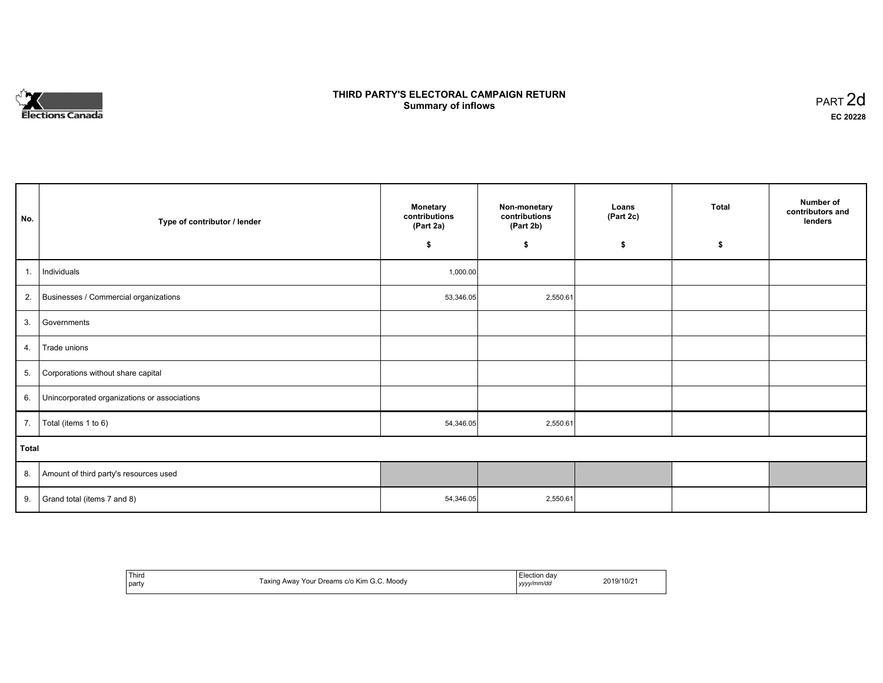

## **THIRD PARTY'S ELECTORAL CAMPAIGN RETURN S** ELECTORAL CAMPAIGN RETURN<br>Summary of inflows PART 2d

| No.   | Type of contributor / lender                    | <b>Monetary</b><br>contributions<br>(Part 2a)<br>\$ | Non-monetary<br>contributions<br>(Part 2b)<br>\$ | Loans<br>(Part 2c)<br>\$ | <b>Total</b><br>\$ | Number of<br>contributors and<br>lenders |
|-------|-------------------------------------------------|-----------------------------------------------------|--------------------------------------------------|--------------------------|--------------------|------------------------------------------|
|       |                                                 |                                                     |                                                  |                          |                    |                                          |
| 1.    | Individuals                                     | 1,000.00                                            |                                                  |                          |                    |                                          |
|       | 2. Businesses / Commercial organizations        | 53,346.05                                           | 2,550.61                                         |                          |                    |                                          |
|       | 3. Governments                                  |                                                     |                                                  |                          |                    |                                          |
| 4.    | Trade unions                                    |                                                     |                                                  |                          |                    |                                          |
| 5.    | Corporations without share capital              |                                                     |                                                  |                          |                    |                                          |
|       | 6. Unincorporated organizations or associations |                                                     |                                                  |                          |                    |                                          |
| 7.    | Total (items 1 to 6)                            | 54,346.05                                           | 2,550.61                                         |                          |                    |                                          |
| Total |                                                 |                                                     |                                                  |                          |                    |                                          |
|       | 8. Amount of third party's resources used       |                                                     |                                                  |                          |                    |                                          |
|       | 9. Grand total (items $7$ and $8$ )             | 54,346.05                                           | 2,550.61                                         |                          |                    |                                          |

| Third<br>party | . Moodv<br>Taxino<br>ם Awav Your Dreams c/o Kim G | Election dav<br>yyyy/mm/da | 2019/10/2 |
|----------------|---------------------------------------------------|----------------------------|-----------|
|----------------|---------------------------------------------------|----------------------------|-----------|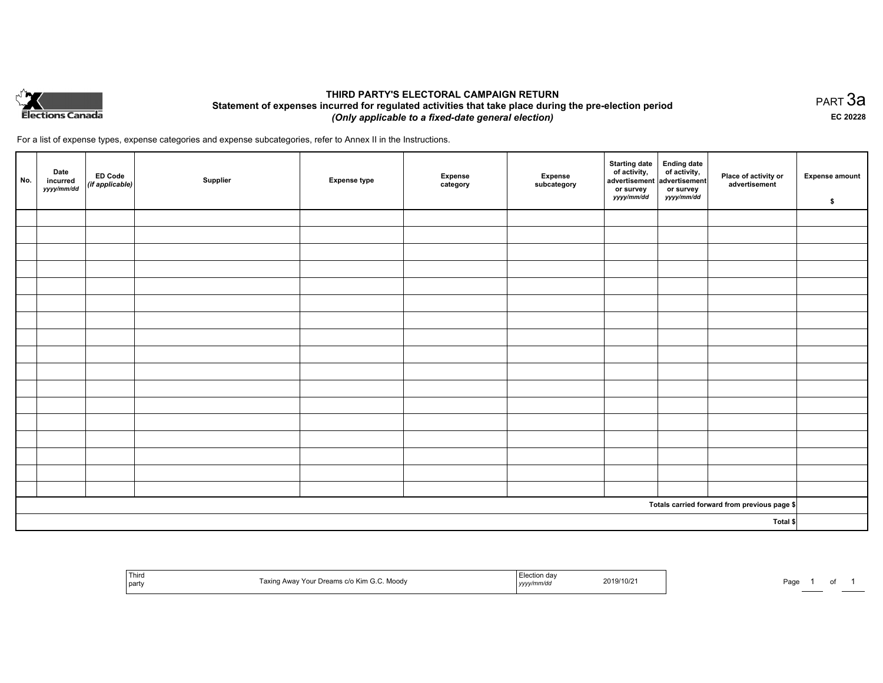

## **THIRD PARTY'S ELECTORAL CAMPAIGN RETURN Statement of expenses incurred for regulated activities that take place during the pre-election period**  *(Only applicable to a fixed-date general election)*

For a list of expense types, expense categories and expense subcategories, refer to Annex II in the Instructions.

| No.      | Date<br>incurred<br>yyyy/mm/dd | $\left  \begin{array}{c} \text{ED Code} \\ (\text{if applicable}) \end{array} \right $ | Supplier | <b>Expense type</b> | <b>Expense</b><br>category | Expense<br>subcategory | Starting date<br>of activity,<br>advertisement<br>advertisement<br>dvertisement<br>or survey<br>yyyy/mm/dd | or survey<br>yyyy/mm/dd | Place of activity or<br>advertisement        | <b>Expense amount</b><br>\$ |
|----------|--------------------------------|----------------------------------------------------------------------------------------|----------|---------------------|----------------------------|------------------------|------------------------------------------------------------------------------------------------------------|-------------------------|----------------------------------------------|-----------------------------|
|          |                                |                                                                                        |          |                     |                            |                        |                                                                                                            |                         |                                              |                             |
|          |                                |                                                                                        |          |                     |                            |                        |                                                                                                            |                         |                                              |                             |
|          |                                |                                                                                        |          |                     |                            |                        |                                                                                                            |                         |                                              |                             |
|          |                                |                                                                                        |          |                     |                            |                        |                                                                                                            |                         |                                              |                             |
|          |                                |                                                                                        |          |                     |                            |                        |                                                                                                            |                         |                                              |                             |
|          |                                |                                                                                        |          |                     |                            |                        |                                                                                                            |                         |                                              |                             |
|          |                                |                                                                                        |          |                     |                            |                        |                                                                                                            |                         |                                              |                             |
|          |                                |                                                                                        |          |                     |                            |                        |                                                                                                            |                         |                                              |                             |
|          |                                |                                                                                        |          |                     |                            |                        |                                                                                                            |                         |                                              |                             |
|          |                                |                                                                                        |          |                     |                            |                        |                                                                                                            |                         |                                              |                             |
|          |                                |                                                                                        |          |                     |                            |                        |                                                                                                            |                         |                                              |                             |
|          |                                |                                                                                        |          |                     |                            |                        |                                                                                                            |                         |                                              |                             |
|          |                                |                                                                                        |          |                     |                            |                        |                                                                                                            |                         |                                              |                             |
|          |                                |                                                                                        |          |                     |                            |                        |                                                                                                            |                         |                                              |                             |
|          |                                |                                                                                        |          |                     |                            |                        |                                                                                                            |                         |                                              |                             |
|          |                                |                                                                                        |          |                     |                            |                        |                                                                                                            |                         |                                              |                             |
|          |                                |                                                                                        |          |                     |                            |                        |                                                                                                            |                         |                                              |                             |
|          |                                |                                                                                        |          |                     |                            |                        |                                                                                                            |                         | Totals carried forward from previous page \$ |                             |
| Total \$ |                                |                                                                                        |          |                     |                            |                        |                                                                                                            |                         |                                              |                             |

| Third<br>Taxing Away Your Dreams c/o Kim G.C. Moody<br>  part | Election day<br>2019/10/21<br>yyyy/mm/dd | Page |
|---------------------------------------------------------------|------------------------------------------|------|
|---------------------------------------------------------------|------------------------------------------|------|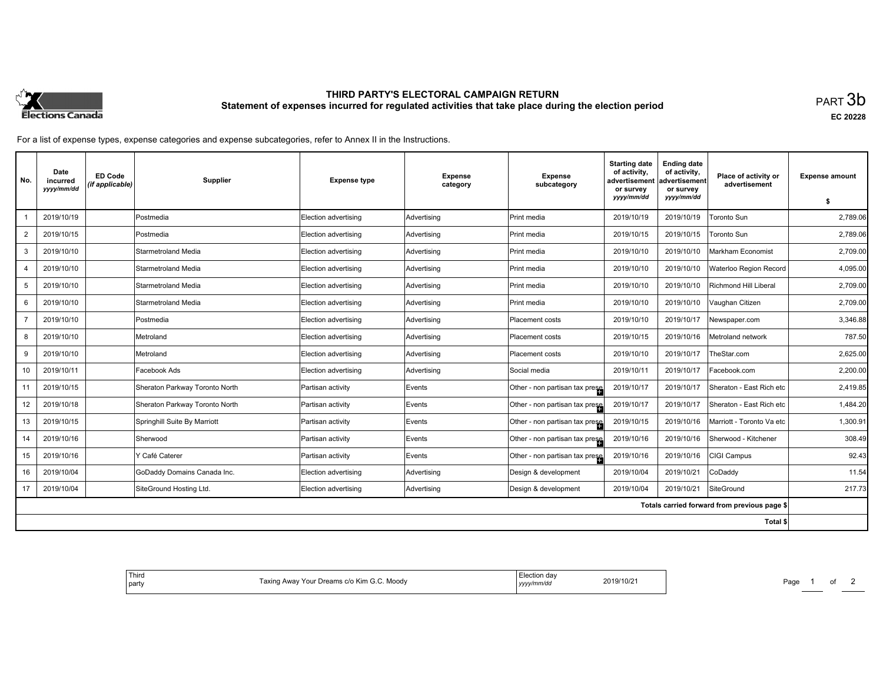

# **THIRD PARTY'S ELECTORAL CAMPAIGN RETURN Statement of expenses incurred for regulated activities that take place during the election period**<br>PART  $3\mathsf{b}$

**EC 20228**

For a list of expense types, expense categories and expense subcategories, refer to Annex II in the Instructions.

| No. | Date<br>incurred<br>yyyy/mm/dd | <b>ED Code</b><br>(if applicable) | <b>Supplier</b>                | <b>Expense type</b>  | <b>Expense</b><br>category | <b>Expense</b><br>subcategory   | <b>Starting date</b><br>of activity,<br>advertisement<br>or survey<br>yyyy/mm/dd | <b>Ending date</b><br>of activity,<br>advertisement<br>or survey<br>yyyy/mm/dd | Place of activity or<br>advertisement        | <b>Expense amount</b> |
|-----|--------------------------------|-----------------------------------|--------------------------------|----------------------|----------------------------|---------------------------------|----------------------------------------------------------------------------------|--------------------------------------------------------------------------------|----------------------------------------------|-----------------------|
|     |                                |                                   |                                |                      |                            |                                 |                                                                                  |                                                                                |                                              | s.                    |
|     | 2019/10/19                     |                                   | Postmedia                      | Election advertising | Advertising                | Print media                     | 2019/10/19                                                                       | 2019/10/19                                                                     | Toronto Sun                                  | 2.789.06              |
| 2   | 2019/10/15                     |                                   | Postmedia                      | Election advertising | Advertising                | Print media                     | 2019/10/15                                                                       | 2019/10/15                                                                     | Toronto Sun                                  | 2,789.06              |
| 3   | 2019/10/10                     |                                   | Starmetroland Media            | Election advertising | Advertising                | Print media                     | 2019/10/10                                                                       | 2019/10/10                                                                     | Markham Economist                            | 2,709.00              |
| 4   | 2019/10/10                     |                                   | Starmetroland Media            | Election advertising | Advertising                | Print media                     | 2019/10/10                                                                       | 2019/10/10                                                                     | Waterloo Region Record                       | 4,095.00              |
| 5   | 2019/10/10                     |                                   | Starmetroland Media            | Election advertising | Advertising                | Print media                     | 2019/10/10                                                                       | 2019/10/10                                                                     | <b>Richmond Hill Liberal</b>                 | 2,709.00              |
| 6   | 2019/10/10                     |                                   | Starmetroland Media            | Election advertising | Advertising                | Print media                     | 2019/10/10                                                                       | 2019/10/10                                                                     | Vaughan Citizen                              | 2.709.00              |
|     | 2019/10/10                     |                                   | Postmedia                      | Election advertising | Advertising                | Placement costs                 | 2019/10/10                                                                       | 2019/10/17                                                                     | Newspaper.com                                | 3,346.88              |
| 8   | 2019/10/10                     |                                   | Metroland                      | Election advertising | Advertising                | Placement costs                 | 2019/10/15                                                                       | 2019/10/16                                                                     | Metroland network                            | 787.50                |
| 9   | 2019/10/10                     |                                   | Metroland                      | Election advertising | Advertising                | <b>Placement costs</b>          | 2019/10/10                                                                       | 2019/10/17                                                                     | TheStar.com                                  | 2,625.00              |
| 10  | 2019/10/11                     |                                   | Facebook Ads                   | Election advertising | Advertising                | Social media                    | 2019/10/11                                                                       | 2019/10/17                                                                     | Facebook.com                                 | 2,200.00              |
| 11  | 2019/10/15                     |                                   | Sheraton Parkway Toronto North | Partisan activity    | Events                     | Other - non partisan tax prese  | 2019/10/17                                                                       | 2019/10/17                                                                     | Sheraton - East Rich etc                     | 2,419.85              |
| 12  | 2019/10/18                     |                                   | Sheraton Parkway Toronto North | Partisan activity    | Events                     | Other - non partisan tax presel | 2019/10/17                                                                       | 2019/10/17                                                                     | Sheraton - East Rich etc                     | 1,484.20              |
| 13  | 2019/10/15                     |                                   | Springhill Suite By Marriott   | Partisan activity    | Events                     | Other - non partisan tax presel | 2019/10/15                                                                       | 2019/10/16                                                                     | Marriott - Toronto Va etc                    | 1,300.91              |
| 14  | 2019/10/16                     |                                   | Sherwood                       | Partisan activity    | Events                     | Other - non partisan tax prese  | 2019/10/16                                                                       | 2019/10/16                                                                     | Sherwood - Kitchener                         | 308.49                |
| 15  | 2019/10/16                     |                                   | Y Café Caterer                 | Partisan activity    | Events                     | Other - non partisan tax presel | 2019/10/16                                                                       | 2019/10/16                                                                     | CIGI Campus                                  | 92.43                 |
| 16  | 2019/10/04                     |                                   | GoDaddy Domains Canada Inc.    | Election advertising | Advertising                | Design & development            | 2019/10/04                                                                       | 2019/10/21                                                                     | CoDaddy                                      | 11.54                 |
| 17  | 2019/10/04                     |                                   | SiteGround Hosting Ltd.        | Election advertising | Advertising                | Design & development            | 2019/10/04                                                                       | 2019/10/21                                                                     | SiteGround                                   | 217.73                |
|     |                                |                                   |                                |                      |                            |                                 |                                                                                  |                                                                                | Totals carried forward from previous page \$ |                       |
|     |                                |                                   |                                |                      |                            |                                 |                                                                                  |                                                                                | Total \$                                     |                       |

| ⊦da\<br>ACTION<br>2019<br>.<br>Moodv<br>∘ Kim<br>eams:<br>r our<br>70Z<br>wwci<br>v/mm/dr<br>,,,, | . .<br>Third<br>' partv |
|---------------------------------------------------------------------------------------------------|-------------------------|
|---------------------------------------------------------------------------------------------------|-------------------------|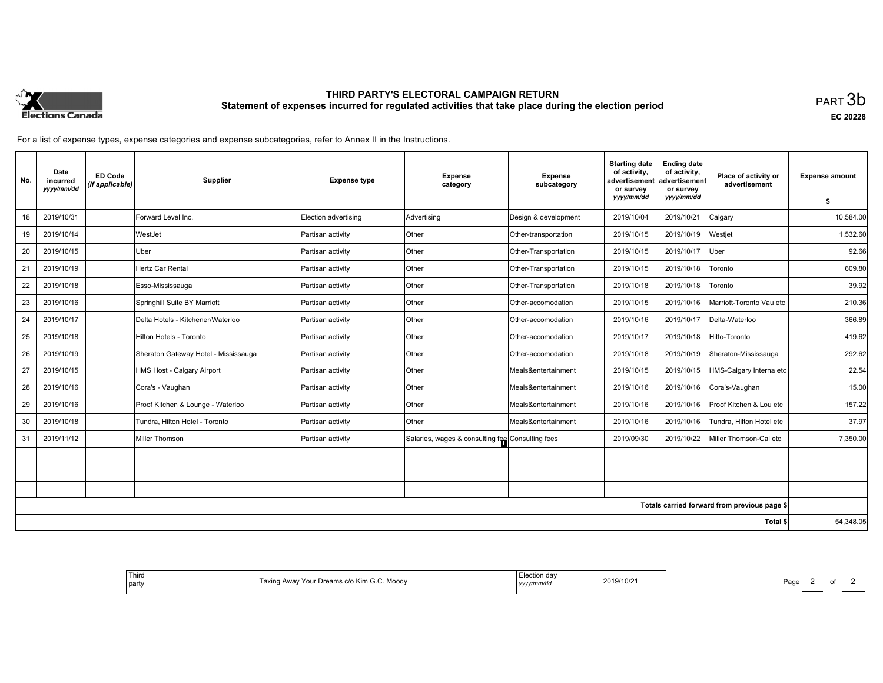

# **THIRD PARTY'S ELECTORAL CAMPAIGN RETURN Statement of expenses incurred for regulated activities that take place during the election period**<br>PART  $3\mathsf{b}$

**EC 20228**

For a list of expense types, expense categories and expense subcategories, refer to Annex II in the Instructions.

| No.      | Date<br>incurred<br>yyyy/mm/dd | <b>ED Code</b><br>(if applicable) | Supplier                             | <b>Expense type</b>  | <b>Expense</b><br>category                       | <b>Expense</b><br>subcategory | <b>Starting date</b><br>of activity.<br>advertisement<br>or survey<br>yyyy/mm/dd | <b>Ending date</b><br>of activity,<br>advertisement<br>or survey<br>yyyy/mm/dd | Place of activity or<br>advertisement        | <b>Expense amount</b><br>Ŝ. |
|----------|--------------------------------|-----------------------------------|--------------------------------------|----------------------|--------------------------------------------------|-------------------------------|----------------------------------------------------------------------------------|--------------------------------------------------------------------------------|----------------------------------------------|-----------------------------|
| 18       | 2019/10/31                     |                                   | Forward Level Inc.                   | Election advertising | Advertising                                      | Design & development          | 2019/10/04                                                                       | 2019/10/21                                                                     | Calgary                                      | 10.584.00                   |
| 19       | 2019/10/14                     |                                   | WestJet                              | Partisan activity    | <b>Other</b>                                     | Other-transportation          | 2019/10/15                                                                       | 2019/10/19                                                                     | Westjet                                      | 1,532.60                    |
| 20       | 2019/10/15                     |                                   | Uber                                 | Partisan activity    | Other                                            | Other-Transportation          | 2019/10/15                                                                       | 2019/10/17                                                                     | Uber                                         | 92.66                       |
| 21       | 2019/10/19                     |                                   | Hertz Car Rental                     | Partisan activity    | Other                                            | Other-Transportation          | 2019/10/15                                                                       | 2019/10/18                                                                     | Toronto                                      | 609.80                      |
| 22       | 2019/10/18                     |                                   | Esso-Mississauga                     | Partisan activity    | Other                                            | Other-Transportation          | 2019/10/18                                                                       | 2019/10/18                                                                     | Toronto                                      | 39.92                       |
| 23       | 2019/10/16                     |                                   | Springhill Suite BY Marriott         | Partisan activity    | Other                                            | Other-accomodation            | 2019/10/15                                                                       | 2019/10/16                                                                     | Marriott-Toronto Vau etc                     | 210.36                      |
| 24       | 2019/10/17                     |                                   | Delta Hotels - Kitchener/Waterloo    | Partisan activity    | Other                                            | Other-accomodation            | 2019/10/16                                                                       | 2019/10/17                                                                     | Delta-Waterloo                               | 366.89                      |
| 25       | 2019/10/18                     |                                   | Hilton Hotels - Toronto              | Partisan activity    | Other                                            | Other-accomodation            | 2019/10/17                                                                       | 2019/10/18                                                                     | Hitto-Toronto                                | 419.62                      |
| 26       | 2019/10/19                     |                                   | Sheraton Gateway Hotel - Mississauga | Partisan activity    | Other                                            | Other-accomodation            | 2019/10/18                                                                       | 2019/10/19                                                                     | Sheraton-Mississauga                         | 292.62                      |
| 27       | 2019/10/15                     |                                   | HMS Host - Calgary Airport           | Partisan activity    | Other                                            | Meals&entertainment           | 2019/10/15                                                                       | 2019/10/15                                                                     | HMS-Calgary Interna etc                      | 22.54                       |
| 28       | 2019/10/16                     |                                   | Cora's - Vaughan                     | Partisan activity    | Other                                            | Meals&entertainment           | 2019/10/16                                                                       | 2019/10/16                                                                     | Cora's-Vaughan                               | 15.00                       |
| 29       | 2019/10/16                     |                                   | Proof Kitchen & Lounge - Waterloo    | Partisan activity    | <b>Other</b>                                     | Meals&entertainment           | 2019/10/16                                                                       | 2019/10/16                                                                     | Proof Kitchen & Lou etc                      | 157.22                      |
| 30       | 2019/10/18                     |                                   | Tundra, Hilton Hotel - Toronto       | Partisan activity    | Other                                            | Meals&entertainment           | 2019/10/16                                                                       | 2019/10/16                                                                     | Tundra, Hilton Hotel etc                     | 37.97                       |
| 31       | 2019/11/12                     |                                   | Miller Thomson                       | Partisan activity    | Salaries, wages & consulting fee Consulting fees |                               | 2019/09/30                                                                       | 2019/10/22                                                                     | Miller Thomson-Cal etc                       | 7,350.00                    |
|          |                                |                                   |                                      |                      |                                                  |                               |                                                                                  |                                                                                |                                              |                             |
|          |                                |                                   |                                      |                      |                                                  |                               |                                                                                  |                                                                                |                                              |                             |
|          |                                |                                   |                                      |                      |                                                  |                               |                                                                                  |                                                                                |                                              |                             |
|          |                                |                                   |                                      |                      |                                                  |                               |                                                                                  |                                                                                | Totals carried forward from previous page \$ |                             |
| Total \$ |                                |                                   |                                      |                      |                                                  |                               |                                                                                  |                                                                                | 54,348.05                                    |                             |

| 10/2<br>vlood<br>-dilly<br>$\mathbf{u}$<br>vwa.<br>∠U '<br>mn<br>,,,, |  |
|-----------------------------------------------------------------------|--|
|-----------------------------------------------------------------------|--|